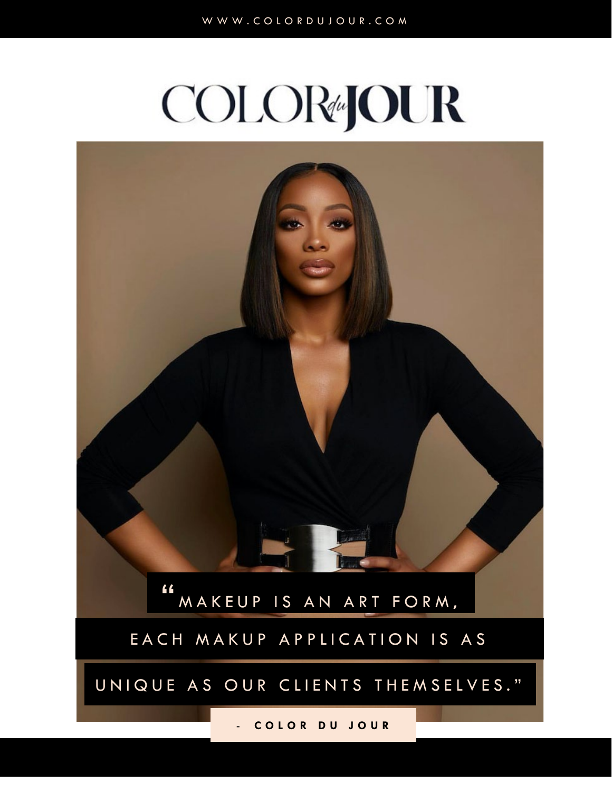# **COLOR#JOUR**

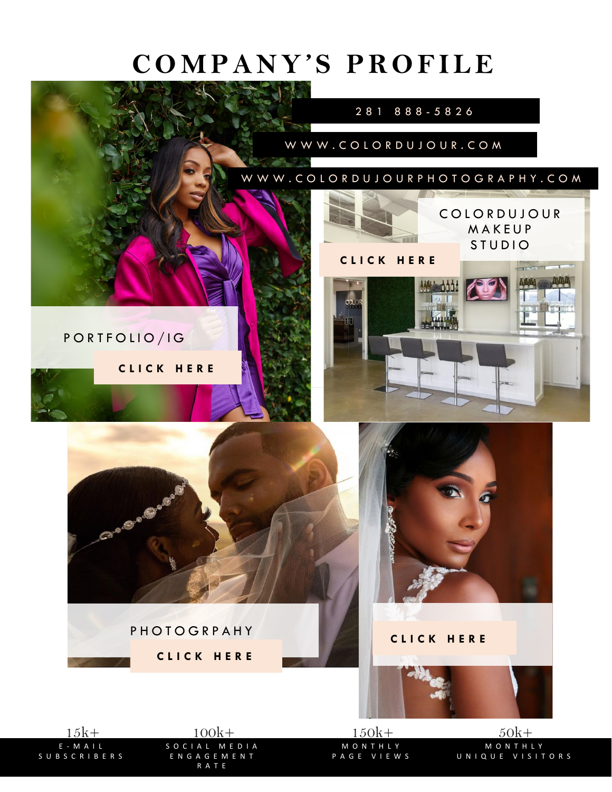### **COMPANY'S PROFILE**



E - MAIL SUBSCRIBERS SOCIAL ENGAGEMENT RATE

MONTHLY PAGE VIEWS

MONTHLY UNIQUE VISITORS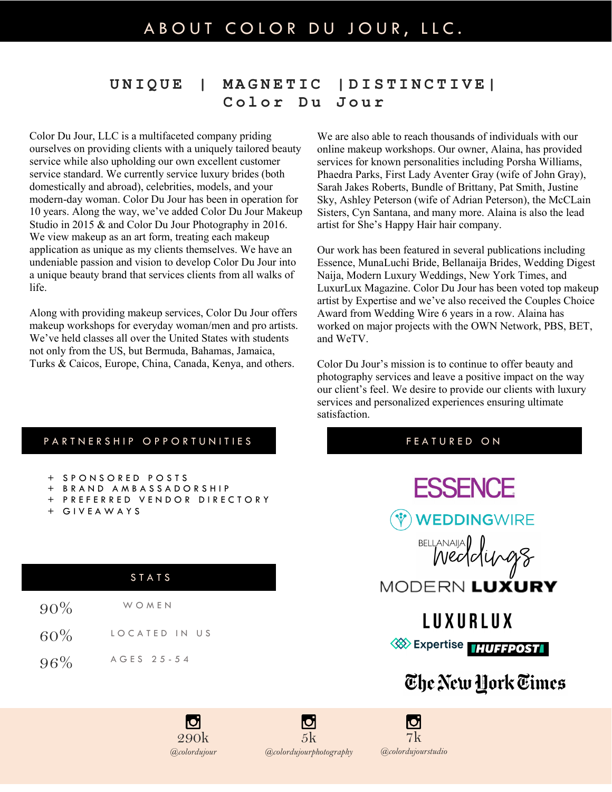#### **UNIQUE | MAGNETIC |DISTINCTIVE| Color Du Jour**

Color Du Jour, LLC is a multifaceted company priding ourselves on providing clients with a uniquely tailored beauty service while also upholding our own excellent customer service standard. We currently service luxury brides (both domestically and abroad), celebrities, models, and your modern-day woman. Color Du Jour has been in operation for 10 years. Along the way, we've added Color Du Jour Makeup Studio in 2015 & and Color Du Jour Photography in 2016. We view makeup as an art form, treating each makeup application as unique as my clients themselves. We have an undeniable passion and vision to develop Color Du Jour into a unique beauty brand that services clients from all walks of life.

Along with providing makeup services, Color Du Jour offers makeup workshops for everyday woman/men and pro artists. We've held classes all over the United States with students not only from the US, but Bermuda, Bahamas, Jamaica, Turks & Caicos, Europe, China, Canada, Kenya, and others.

> 290k *@colordujour*

We are also able to reach thousands of individuals with our online makeup workshops. Our owner, Alaina, has provided services for known personalities including Porsha Williams, Phaedra Parks, First Lady Aventer Gray (wife of John Gray), Sarah Jakes Roberts, Bundle of Brittany, Pat Smith, Justine Sky, Ashley Peterson (wife of Adrian Peterson), the McCLain Sisters, Cyn Santana, and many more. Alaina is also the lead artist for She's Happy Hair hair company.

Our work has been featured in several publications including Essence, MunaLuchi Bride, Bellanaija Brides, Wedding Digest Naija, Modern Luxury Weddings, New York Times, and LuxurLux Magazine. Color Du Jour has been voted top makeup artist by Expertise and we've also received the Couples Choice Award from Wedding Wire 6 years in a row. Alaina has worked on major projects with the OWN Network, PBS, BET, and WeTV.

Color Du Jour's mission is to continue to offer beauty and photography services and leave a positive impact on the way our client's feel. We desire to provide our clients with luxury services and personalized experiences ensuring ultimate satisfaction.

|                                                                                        | PARTNERSHIP OPPORTUNITIES |     | <b>FEATURED ON</b>                                        |
|----------------------------------------------------------------------------------------|---------------------------|-----|-----------------------------------------------------------|
| + SPONSORED POSTS<br>BRAND AMBASSADORSHIP<br>PREFERRED VENDOR DIRECTORY<br>+ GIVEAWAYS |                           |     | <b>ESSENCE</b><br><b>WEDDINGWIRE</b><br>BELLANAIJA (11098 |
|                                                                                        | STATS                     |     | MODERN LUXURY                                             |
| $90\%$                                                                                 | WOMEN                     |     | LUXURLUX                                                  |
| 60%                                                                                    | LOCATED IN US             |     | <b>WEXPERIEURE THUFFPOST</b>                              |
| 96%                                                                                    | AGES 25-54                |     |                                                           |
|                                                                                        |                           |     | The New York Times                                        |
|                                                                                        | IO.                       | IO. |                                                           |

5k *@colordujourphotography*

7k *@colordujourstudio*